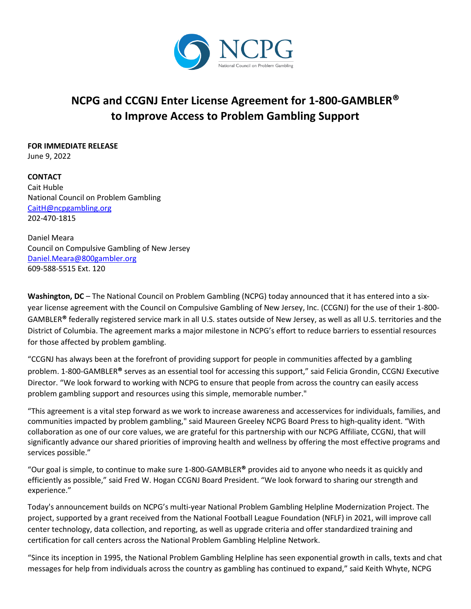

## **NCPG and CCGNJ Enter License Agreement for 1-800-GAMBLER® to Improve Access to Problem Gambling Support**

## **FOR IMMEDIATE RELEASE**

June 9, 2022

**CONTACT** Cait Huble National Council on Problem Gambling [CaitH@ncpgambling.org](mailto:CaitH@ncpgambling.org) 202-470-1815

Daniel Meara Council on Compulsive Gambling of New Jersey [Daniel.Meara@800gambler.org](mailto:Daniel.Meara@800gambler.org) 609-588-5515 Ext. 120

**Washington, DC** – The National Council on Problem Gambling (NCPG) today announced that it has entered into a sixyear license agreement with the Council on Compulsive Gambling of New Jersey, Inc. (CCGNJ) for the use of their 1-800- GAMBLER**®** federally registered service mark in all U.S. states outside of New Jersey, as well as all U.S. territories and the District of Columbia. The agreement marks a major milestone in NCPG's effort to reduce barriers to essential resources for those affected by problem gambling.

"CCGNJ has always been at the forefront of providing support for people in communities affected by a gambling problem. 1-800-GAMBLER**®** serves as an essential tool for accessing this support," said Felicia Grondin, CCGNJ Executive Director. "We look forward to working with NCPG to ensure that people from across the country can easily access problem gambling support and resources using this simple, memorable number."

"This agreement is a vital step forward as we work to increase awareness and accesservices for individuals, families, and communities impacted by problem gambling," said Maureen Greeley NCPG Board Press to high-quality ident. "With collaboration as one of our core values, we are grateful for this partnership with our NCPG Affiliate, CCGNJ, that will significantly advance our shared priorities of improving health and wellness by offering the most effective programs and services possible."

"Our goal is simple, to continue to make sure 1-800-GAMBLER**®** provides aid to anyone who needs it as quickly and efficiently as possible," said Fred W. Hogan CCGNJ Board President. "We look forward to sharing our strength and experience."

Today's announcement builds on NCPG's multi-year National Problem Gambling Helpline Modernization Project. The project, supported by a grant received from the National Football League Foundation (NFLF) in 2021, will improve call center technology, data collection, and reporting, as well as upgrade criteria and offer standardized training and certification for call centers across the National Problem Gambling Helpline Network.

"Since its inception in 1995, the National Problem Gambling Helpline has seen exponential growth in calls, texts and chat messages for help from individuals across the country as gambling has continued to expand," said Keith Whyte, NCPG